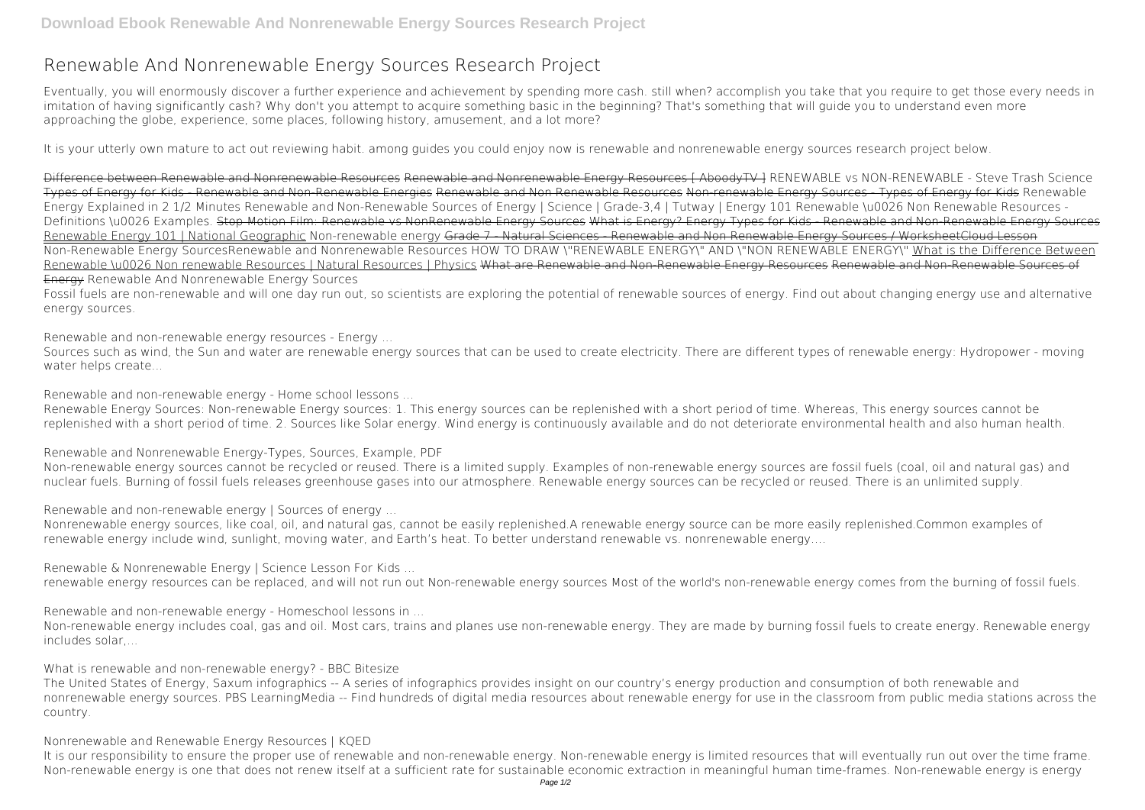## **Renewable And Nonrenewable Energy Sources Research Project**

Eventually, you will enormously discover a further experience and achievement by spending more cash. still when? accomplish you take that you require to get those every needs in imitation of having significantly cash? Why don't you attempt to acquire something basic in the beginning? That's something that will guide you to understand even more approaching the globe, experience, some places, following history, amusement, and a lot more?

It is your utterly own mature to act out reviewing habit. among guides you could enjoy now is **renewable and nonrenewable energy sources research project** below.

Difference between Renewable and Nonrenewable Resources Renewable and Nonrenewable Energy Resources [ AboodyTV ] *RENEWABLE vs NON-RENEWABLE - Steve Trash Science* Types of Energy for Kids - Renewable and Non-Renewable Energies Renewable and Non Renewable Resources Non-renewable Energy Sources - Types of Energy for Kids **Renewable Energy Explained in 2 1/2 Minutes** Renewable and Non-Renewable Sources of Energy | Science | Grade-3,4 | Tutway | Energy 101 Renewable \u0026 Non Renewable Resources - Definitions \u0026 Examples. Stop Motion Film: Renewable vs NonRenewable Energy Sources What is Energy? Energy Types for Kids - Renewable and Non-Renewable Energy Sources Renewable Energy 101 | National Geographic Non-renewable energy Grade 7 - Natural Sciences - Renewable and Non Renewable Energy Sources / WorksheetCloud Lesson Non-Renewable Energy Sources**Renewable and Nonrenewable Resources** HOW TO DRAW \"RENEWABLE ENERGY\" AND \"NON RENEWABLE ENERGY\" What is the Difference Between Renewable \u0026 Non renewable Resources | Natural Resources | Physics What are Renewable and Non-Renewable Renewable and Non-Renewable Sources of Energy **Renewable And Nonrenewable Energy Sources**

Fossil fuels are non-renewable and will one day run out, so scientists are exploring the potential of renewable sources of energy. Find out about changing energy use and alternative energy sources.

**Renewable and non-renewable energy resources - Energy ...**

Sources such as wind, the Sun and water are renewable energy sources that can be used to create electricity. There are different types of renewable energy: Hydropower - moving water helps create...

**Renewable and non-renewable energy - Home school lessons ...**

Renewable Energy Sources: Non-renewable Energy sources: 1. This energy sources can be replenished with a short period of time. Whereas, This energy sources cannot be replenished with a short period of time. 2. Sources like Solar energy. Wind energy is continuously available and do not deteriorate environmental health and also human health.

**Renewable and Nonrenewable Energy-Types, Sources, Example, PDF**

Non-renewable energy sources cannot be recycled or reused. There is a limited supply. Examples of non-renewable energy sources are fossil fuels (coal, oil and natural gas) and nuclear fuels. Burning of fossil fuels releases greenhouse gases into our atmosphere. Renewable energy sources can be recycled or reused. There is an unlimited supply.

**Renewable and non-renewable energy | Sources of energy ...**

Nonrenewable energy sources, like coal, oil, and natural gas, cannot be easily replenished.A renewable energy source can be more easily replenished.Common examples of renewable energy include wind, sunlight, moving water, and Earth's heat. To better understand renewable vs. nonrenewable energy….

**Renewable & Nonrenewable Energy | Science Lesson For Kids ...**

renewable energy resources can be replaced, and will not run out Non-renewable energy sources Most of the world's non-renewable energy comes from the burning of fossil fuels.

**Renewable and non-renewable energy - Homeschool lessons in ...**

Non-renewable energy includes coal, gas and oil. Most cars, trains and planes use non-renewable energy. They are made by burning fossil fuels to create energy. Renewable energy includes solar,...

**What is renewable and non-renewable energy? - BBC Bitesize**

The United States of Energy, Saxum infographics -- A series of infographics provides insight on our country's energy production and consumption of both renewable and nonrenewable energy sources. PBS LearningMedia -- Find hundreds of digital media resources about renewable energy for use in the classroom from public media stations across the country.

**Nonrenewable and Renewable Energy Resources | KQED**

It is our responsibility to ensure the proper use of renewable and non-renewable energy. Non-renewable energy is limited resources that will eventually run out over the time frame. Non-renewable energy is one that does not renew itself at a sufficient rate for sustainable economic extraction in meaningful human time-frames. Non-renewable energy is energy